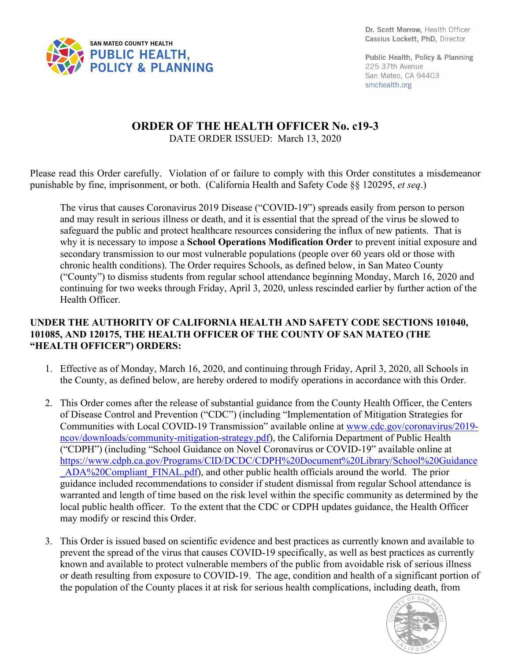

Dr. Scott Morrow. Health Officer Cassius Lockett, PhD, Director

Public Health, Policy & Planning 225 37th Avenue San Mateo, CA 94403 smchealth.org

## **ORDER OF THE HEALTH OFFICER No. c19-3** DATE ORDER ISSUED: March 13, 2020

Please read this Order carefully. Violation of or failure to comply with this Order constitutes a misdemeanor punishable by fine, imprisonment, or both. (California Health and Safety Code §§ 120295, *et seq*.)

The virus that causes Coronavirus 2019 Disease ("COVID-19") spreads easily from person to person and may result in serious illness or death, and it is essential that the spread of the virus be slowed to safeguard the public and protect healthcare resources considering the influx of new patients. That is why it is necessary to impose a **School Operations Modification Order** to prevent initial exposure and secondary transmission to our most vulnerable populations (people over 60 years old or those with chronic health conditions). The Order requires Schools, as defined below, in San Mateo County ("County") to dismiss students from regular school attendance beginning Monday, March 16, 2020 and continuing for two weeks through Friday, April 3, 2020, unless rescinded earlier by further action of the Health Officer.

## **UNDER THE AUTHORITY OF CALIFORNIA HEALTH AND SAFETY CODE SECTIONS 101040, 101085, AND 120175, THE HEALTH OFFICER OF THE COUNTY OF SAN MATEO (THE "HEALTH OFFICER") ORDERS:**

- 1. Effective as of Monday, March 16, 2020, and continuing through Friday, April 3, 2020, all Schools in the County, as defined below, are hereby ordered to modify operations in accordance with this Order.
- 2. This Order comes after the release of substantial guidance from the County Health Officer, the Centers of Disease Control and Prevention ("CDC") (including "Implementation of Mitigation Strategies for Communities with Local COVID-19 Transmission" available online at [www.cdc.gov/coronavirus/2019](http://www.cdc.gov/coronavirus/2019-ncov/downloads/community-mitigation-strategy.pdf) [ncov/downloads/community-mitigation-strategy.pdf\)](http://www.cdc.gov/coronavirus/2019-ncov/downloads/community-mitigation-strategy.pdf), the California Department of Public Health ("CDPH") (including "School Guidance on Novel Coronavirus or COVID-19" available online at [https://www.cdph.ca.gov/Programs/CID/DCDC/CDPH%20Document%20Library/School%20Guidance](https://www.cdph.ca.gov/Programs/CID/DCDC/CDPH%20Document%20Library/School%20Guidance_ADA%20Compliant_FINAL.pdf) [\\_ADA%20Compliant\\_FINAL.pdf\)](https://www.cdph.ca.gov/Programs/CID/DCDC/CDPH%20Document%20Library/School%20Guidance_ADA%20Compliant_FINAL.pdf), and other public health officials around the world. The prior guidance included recommendations to consider if student dismissal from regular School attendance is warranted and length of time based on the risk level within the specific community as determined by the local public health officer. To the extent that the CDC or CDPH updates guidance, the Health Officer may modify or rescind this Order.
- 3. This Order is issued based on scientific evidence and best practices as currently known and available to prevent the spread of the virus that causes COVID-19 specifically, as well as best practices as currently known and available to protect vulnerable members of the public from avoidable risk of serious illness or death resulting from exposure to COVID-19. The age, condition and health of a significant portion of the population of the County places it at risk for serious health complications, including death, from

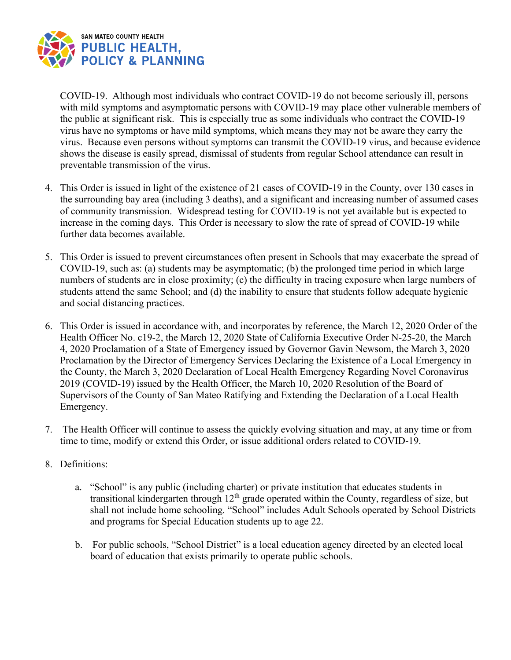

COVID-19. Although most individuals who contract COVID-19 do not become seriously ill, persons with mild symptoms and asymptomatic persons with COVID-19 may place other vulnerable members of the public at significant risk. This is especially true as some individuals who contract the COVID-19 virus have no symptoms or have mild symptoms, which means they may not be aware they carry the virus. Because even persons without symptoms can transmit the COVID-19 virus, and because evidence shows the disease is easily spread, dismissal of students from regular School attendance can result in preventable transmission of the virus.

- 4. This Order is issued in light of the existence of 21 cases of COVID-19 in the County, over 130 cases in the surrounding bay area (including 3 deaths), and a significant and increasing number of assumed cases of community transmission. Widespread testing for COVID-19 is not yet available but is expected to increase in the coming days. This Order is necessary to slow the rate of spread of COVID-19 while further data becomes available.
- 5. This Order is issued to prevent circumstances often present in Schools that may exacerbate the spread of COVID-19, such as: (a) students may be asymptomatic; (b) the prolonged time period in which large numbers of students are in close proximity; (c) the difficulty in tracing exposure when large numbers of students attend the same School; and (d) the inability to ensure that students follow adequate hygienic and social distancing practices.
- 6. This Order is issued in accordance with, and incorporates by reference, the March 12, 2020 Order of the Health Officer No. c19-2, the March 12, 2020 State of California Executive Order N-25-20, the March 4, 2020 Proclamation of a State of Emergency issued by Governor Gavin Newsom, the March 3, 2020 Proclamation by the Director of Emergency Services Declaring the Existence of a Local Emergency in the County, the March 3, 2020 Declaration of Local Health Emergency Regarding Novel Coronavirus 2019 (COVID-19) issued by the Health Officer, the March 10, 2020 Resolution of the Board of Supervisors of the County of San Mateo Ratifying and Extending the Declaration of a Local Health Emergency.
- 7. The Health Officer will continue to assess the quickly evolving situation and may, at any time or from time to time, modify or extend this Order, or issue additional orders related to COVID-19.
- 8. Definitions:
	- a. "School" is any public (including charter) or private institution that educates students in transitional kindergarten through  $12<sup>th</sup>$  grade operated within the County, regardless of size, but shall not include home schooling. "School" includes Adult Schools operated by School Districts and programs for Special Education students up to age 22.
	- b. For public schools, "School District" is a local education agency directed by an elected local board of education that exists primarily to operate public schools.